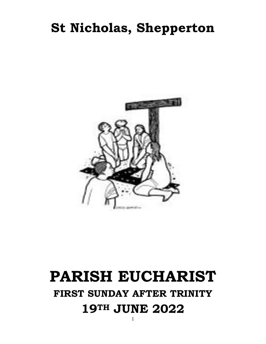# **St Nicholas, Shepperton**



# **PARISH EUCHARIST FIRST SUNDAY AFTER TRINITY 19TH JUNE 2022**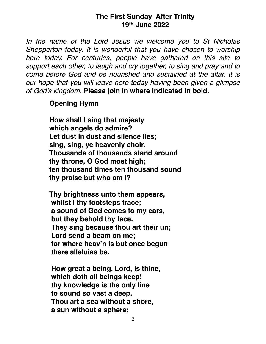#### **The First Sunday After Trinity 19th June 2022**

*In the name of the Lord Jesus we welcome you to St Nicholas Shepperton today. It is wonderful that you have chosen to worship here today. For centuries, people have gathered on this site to support each other, to laugh and cry together, to sing and pray and to come before God and be nourished and sustained at the altar. It is our hope that you will leave here today having been given a glimpse of God's kingdom.* **Please join in where indicated in bold.**

#### **Opening Hymn**

**How shall I sing that majesty which angels do admire? Let dust in dust and silence lies; sing, sing, ye heavenly choir. Thousands of thousands stand around thy throne, O God most high; ten thousand times ten thousand sound thy praise but who am I?**

 **Thy brightness unto them appears, whilst I thy footsteps trace; a sound of God comes to my ears, but they behold thy face. They sing because thou art their un; Lord send a beam on me; for where heav'n is but once begun there alleluias be.**

 **How great a being, Lord, is thine, which doth all beings keep! thy knowledge is the only line to sound so vast a deep. Thou art a sea without a shore, a sun without a sphere;**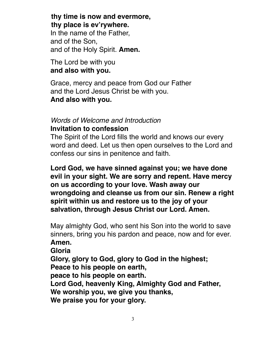**thy time is now and evermore, thy place is ev'rywhere.** In the name of the Father, and of the Son, and of the Holy Spirit. **Amen.**

The Lord be with you

**and also with you.**

Grace, mercy and peace from God our Father and the Lord Jesus Christ be with you. **And also with you.**

# *Words of Welcome and Introduction* **Invitation to confession**

The Spirit of the Lord fills the world and knows our every word and deed. Let us then open ourselves to the Lord and confess our sins in penitence and faith.

**Lord God, we have sinned against you; we have done evil in your sight. We are sorry and repent. Have mercy on us according to your love. Wash away our wrongdoing and cleanse us from our sin. Renew a right spirit within us and restore us to the joy of your salvation, through Jesus Christ our Lord. Amen.**

May almighty God, who sent his Son into the world to save sinners, bring you his pardon and peace, now and for ever.

**Amen.**

**Gloria** 

**Glory, glory to God, glory to God in the highest; Peace to his people on earth,** 

**peace to his people on earth.**

**Lord God, heavenly King, Almighty God and Father, We worship you, we give you thanks,**

**We praise you for your glory.**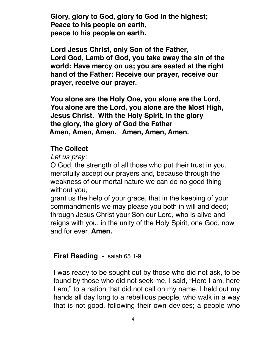**Glory, glory to God, glory to God in the highest; Peace to his people on earth, peace to his people on earth.**

**Lord Jesus Christ, only Son of the Father, Lord God, Lamb of God, you take away the sin of the world: Have mercy on us; you are seated at the right hand of the Father: Receive our prayer, receive our prayer, receive our prayer.**

**You alone are the Holy One, you alone are the Lord, You alone are the Lord, you alone are the Most High, Jesus Christ. With the Holy Spirit, in the glory the glory, the glory of God the Father Amen, Amen, Amen. Amen, Amen, Amen.**

#### **The Collect**

*Let us pray:* 

O God, the strength of all those who put their trust in you, mercifully accept our prayers and, because through the weakness of our mortal nature we can do no good thing without you,

grant us the help of your grace, that in the keeping of your commandments we may please you both in will and deed; through Jesus Christ your Son our Lord, who is alive and reigns with you, in the unity of the Holy Spirit, one God, now and for ever. **Amen.**

#### **First Reading -** Isaiah 65 1-9

I was ready to be sought out by those who did not ask, to be found by those who did not seek me. I said, "Here I am, here I am," to a nation that did not call on my name. I held out my hands all day long to a rebellious people, who walk in a way that is not good, following their own devices; a people who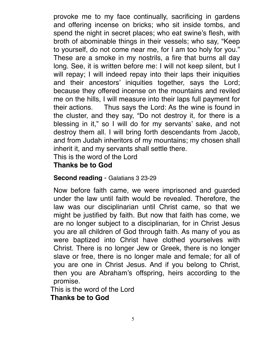provoke me to my face continually, sacrificing in gardens and offering incense on bricks; who sit inside tombs, and spend the night in secret places; who eat swine's flesh, with broth of abominable things in their vessels; who say, "Keep to yourself, do not come near me, for I am too holy for you." These are a smoke in my nostrils, a fire that burns all day long. See, it is written before me: I will not keep silent, but I will repay; I will indeed repay into their laps their iniquities and their ancestors' iniquities together, says the Lord; because they offered incense on the mountains and reviled me on the hills, I will measure into their laps full payment for their actions. Thus says the Lord: As the wine is found in the cluster, and they say, "Do not destroy it, for there is a blessing in it," so I will do for my servants' sake, and not destroy them all. I will bring forth descendants from Jacob, and from Judah inheritors of my mountains; my chosen shall inherit it, and my servants shall settle there.

This is the word of the Lord

# **Thanks be to God**

#### **Second reading** - Galatians 3 23-29

Now before faith came, we were imprisoned and guarded under the law until faith would be revealed. Therefore, the law was our disciplinarian until Christ came, so that we might be justified by faith. But now that faith has come, we are no longer subject to a disciplinarian, for in Christ Jesus you are all children of God through faith. As many of you as were baptized into Christ have clothed yourselves with Christ. There is no longer Jew or Greek, there is no longer slave or free, there is no longer male and female; for all of you are one in Christ Jesus. And if you belong to Christ, then you are Abraham's offspring, heirs according to the promise.

This is the word of the Lord **Thanks be to God**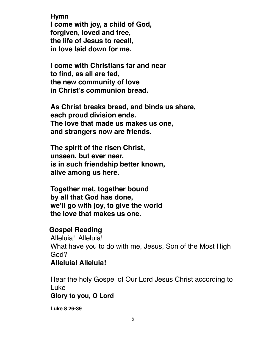**Hymn I come with joy, a child of God, forgiven, loved and free, the life of Jesus to recall, in love laid down for me.**

**I come with Christians far and near to find, as all are fed, the new community of love in Christ's communion bread.**

**As Christ breaks bread, and binds us share, each proud division ends. The love that made us makes us one, and strangers now are friends.**

**The spirit of the risen Christ, unseen, but ever near, is in such friendship better known, alive among us here.**

**Together met, together bound by all that God has done, we'll go with joy, to give the world the love that makes us one.**

#### **Gospel Reading**

Alleluia! Alleluia! What have you to do with me, Jesus, Son of the Most High God? **Alleluia! Alleluia!**

Hear the holy Gospel of Our Lord Jesus Christ according to Luke **Glory to you, O Lord**

**Luke 8 26-39**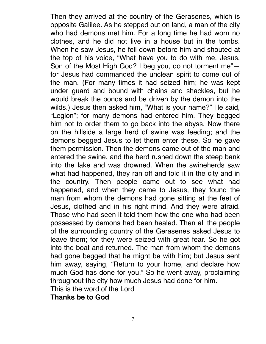Then they arrived at the country of the Gerasenes, which is opposite Galilee. As he stepped out on land, a man of the city who had demons met him. For a long time he had worn no clothes, and he did not live in a house but in the tombs. When he saw Jesus, he fell down before him and shouted at the top of his voice, "What have you to do with me, Jesus, Son of the Most High God? I beg you, do not torment me" for Jesus had commanded the unclean spirit to come out of the man. (For many times it had seized him; he was kept under guard and bound with chains and shackles, but he would break the bonds and be driven by the demon into the wilds.) Jesus then asked him, "What is your name?" He said, "Legion"; for many demons had entered him. They begged him not to order them to go back into the abyss. Now there on the hillside a large herd of swine was feeding; and the demons begged Jesus to let them enter these. So he gave them permission. Then the demons came out of the man and entered the swine, and the herd rushed down the steep bank into the lake and was drowned. When the swineherds saw what had happened, they ran off and told it in the city and in the country. Then people came out to see what had happened, and when they came to Jesus, they found the man from whom the demons had gone sitting at the feet of Jesus, clothed and in his right mind. And they were afraid. Those who had seen it told them how the one who had been possessed by demons had been healed. Then all the people of the surrounding country of the Gerasenes asked Jesus to leave them; for they were seized with great fear. So he got into the boat and returned. The man from whom the demons had gone begged that he might be with him; but Jesus sent him away, saying, "Return to your home, and declare how much God has done for you." So he went away, proclaiming throughout the city how much Jesus had done for him. This is the word of the Lord

**Thanks be to God**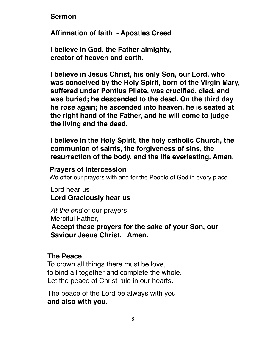#### **Sermon**

**Affirmation of faith - Apostles Creed** 

**I believe in God, the Father almighty, creator of heaven and earth.**

**I believe in Jesus Christ, his only Son, our Lord, who was conceived by the Holy Spirit, born of the Virgin Mary, suffered under Pontius Pilate, was crucified, died, and was buried; he descended to the dead. On the third day he rose again; he ascended into heaven, he is seated at the right hand of the Father, and he will come to judge the living and the dead.** 

**I believe in the Holy Spirit, the holy catholic Church, the communion of saints, the forgiveness of sins, the resurrection of the body, and the life everlasting. Amen.**

#### **Prayers of Intercession**

We offer our prayers with and for the People of God in every place.

Lord hear us **Lord Graciously hear us** 

*At the end* of our prayers Merciful Father,

**Accept these prayers for the sake of your Son, our Saviour Jesus Christ. Amen.**

#### **The Peace**

To crown all things there must be love, to bind all together and complete the whole. Let the peace of Christ rule in our hearts.

The peace of the Lord be always with you **and also with you.**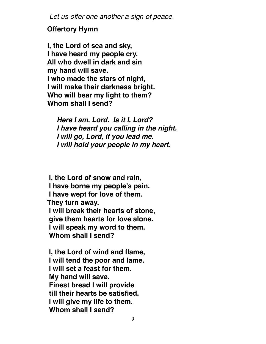*Let us offer one another a sign of peace.*

#### **Offertory Hymn**

 **I, the Lord of sea and sky, I have heard my people cry. All who dwell in dark and sin my hand will save. I who made the stars of night, I will make their darkness bright. Who will bear my light to them? Whom shall I send?**

*Here I am, Lord. Is it I, Lord? I have heard you calling in the night. I will go, Lord, if you lead me. I will hold your people in my heart.*

 **I, the Lord of snow and rain, I have borne my people's pain. I have wept for love of them. They turn away. I will break their hearts of stone, give them hearts for love alone. I will speak my word to them. Whom shall I send?**

 **I, the Lord of wind and flame, I will tend the poor and lame. I will set a feast for them. My hand will save. Finest bread I will provide till their hearts be satisfied. I will give my life to them. Whom shall I send?**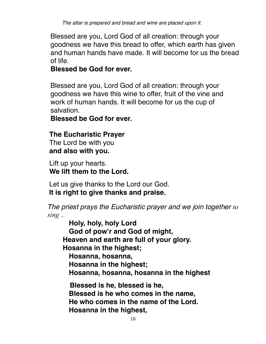*The altar is prepared and bread and wine are placed upon it.* 

Blessed are you, Lord God of all creation: through your goodness we have this bread to offer, which earth has given and human hands have made. It will become for us the bread of life.

#### **Blessed be God for ever.**

Blessed are you, Lord God of all creation: through your goodness we have this wine to offer, fruit of the vine and work of human hands. It will become for us the cup of salvation.

**Blessed be God for ever.**

#### **The Eucharistic Prayer**

The Lord be with you **and also with you.**

Lift up your hearts. **We lift them to the Lord.**

Let us give thanks to the Lord our God.  **It is right to give thanks and praise.**

*The priest prays the Eucharistic prayer and we join together to sing ..*

 **Holy, holy, holy Lord God of pow'r and God of might, Heaven and earth are full of your glory. Hosanna in the highest; Hosanna, hosanna, Hosanna in the highest; Hosanna, hosanna, hosanna in the highest Blessed is he, blessed is he, Blessed is he who comes in the name, He who comes in the name of the Lord. Hosanna in the highest,**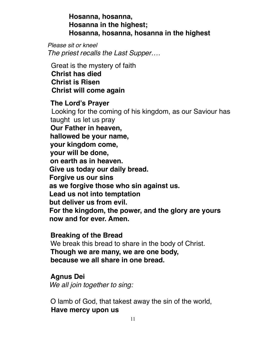#### **Hosanna, hosanna, Hosanna in the highest; Hosanna, hosanna, hosanna in the highest**

*Please sit or kneel The priest recalls the Last Supper….*

Great is the mystery of faith **Christ has died Christ is Risen Christ will come again**

**The Lord's Prayer** Looking for the coming of his kingdom, as our Saviour has taught us let us pray **Our Father in heaven,**  **hallowed be your name, your kingdom come, your will be done, on earth as in heaven. Give us today our daily bread. Forgive us our sins as we forgive those who sin against us. Lead us not into temptation but deliver us from evil. For the kingdom, the power, and the glory are yours now and for ever. Amen.**

#### **Breaking of the Bread**

We break this bread to share in the body of Christ. **Though we are many, we are one body, because we all share in one bread.**

# **Agnus Dei**

*We all join together to sing:*

O lamb of God, that takest away the sin of the world,  **Have mercy upon us**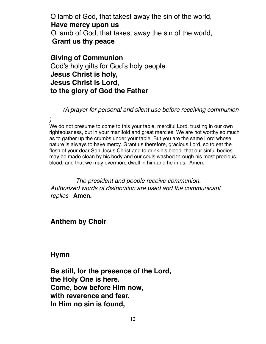O lamb of God, that takest away the sin of the world,  **Have mercy upon us** O lamb of God, that takest away the sin of the world,

 **Grant us thy peace**

**Giving of Communion** God's holy gifts for God's holy people. **Jesus Christ is holy, Jesus Christ is Lord, to the glory of God the Father**

 *(A prayer for personal and silent use before receiving communion*

*)* We do not presume to come to this your table, merciful Lord, trusting in our own righteousness, but in your manifold and great mercies. We are not worthy so much as to gather up the crumbs under your table. But you are the same Lord whose nature is always to have mercy. Grant us therefore, gracious Lord, so to eat the flesh of your dear Son Jesus Christ and to drink his blood, that our sinful bodies may be made clean by his body and our souls washed through his most precious blood, and that we may evermore dwell in him and he in us. Amen.

 *The president and people receive communion. Authorized words of distribution are used and the communicant replies* **Amen.**

#### **Anthem by Choir**

**Hymn**

**Be still, for the presence of the Lord, the Holy One is here. Come, bow before Him now, with reverence and fear. In Him no sin is found,**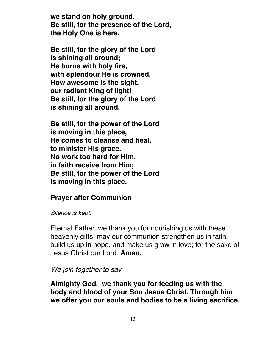**we stand on holy ground. Be still, for the presence of the Lord, the Holy One is here.**

**Be still, for the glory of the Lord is shining all around; He burns with holy fire, with splendour He is crowned. How awesome is the sight, our radiant King of light! Be still, for the glory of the Lord is shining all around.**

**Be still, for the power of the Lord is moving in this place, He comes to cleanse and heal, to minister His grace. No work too hard for Him, in faith receive from Him; Be still, for the power of the Lord is moving in this place.**

#### **Prayer after Communion**

*Silence is kept.*

Eternal Father, we thank you for nourishing us with these heavenly gifts: may our communion strengthen us in faith, build us up in hope, and make us grow in love; for the sake of Jesus Christ our Lord. **Amen.**

*We join together to say* 

**Almighty God, we thank you for feeding us with the body and blood of your Son Jesus Christ. Through him we offer you our souls and bodies to be a living sacrifice.**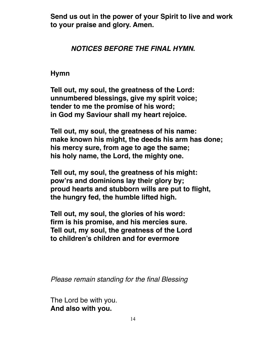**Send us out in the power of your Spirit to live and work to your praise and glory. Amen.**

#### *NOTICES BEFORE THE FINAL HYMN.*

#### **Hymn**

**Tell out, my soul, the greatness of the Lord: unnumbered blessings, give my spirit voice; tender to me the promise of his word; in God my Saviour shall my heart rejoice.**

**Tell out, my soul, the greatness of his name: make known his might, the deeds his arm has done; his mercy sure, from age to age the same; his holy name, the Lord, the mighty one.**

**Tell out, my soul, the greatness of his might: pow'rs and dominions lay their glory by; proud hearts and stubborn wills are put to flight, the hungry fed, the humble lifted high.**

**Tell out, my soul, the glories of his word: firm is his promise, and his mercies sure. Tell out, my soul, the greatness of the Lord to children's children and for evermore**

*Please remain standing for the final Blessing*

The Lord be with you. **And also with you.**